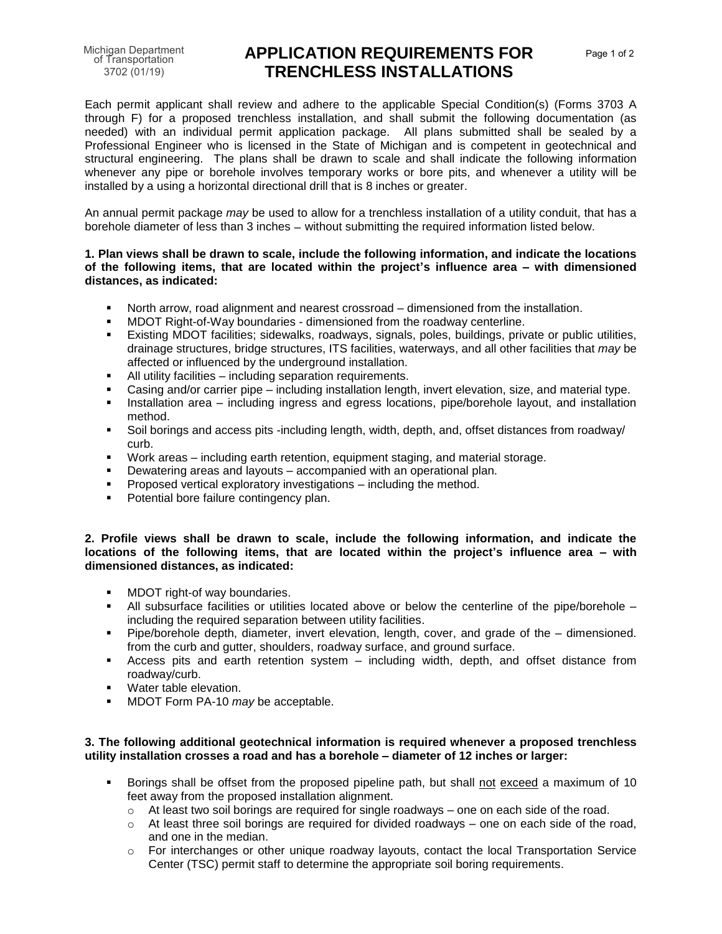of Transportation 3702 (01/19)

# Michigan Department **APPLICATION REQUIREMENTS FOR** Page 1 of 2 **TRENCHLESS INSTALLATIONS**

Each permit applicant shall review and adhere to the applicable Special Condition(s) (Forms 3703 A through F) for a proposed trenchless installation, and shall submit the following documentation (as needed) with an individual permit application package. All plans submitted shall be sealed by a Professional Engineer who is licensed in the State of Michigan and is competent in geotechnical and structural engineering. The plans shall be drawn to scale and shall indicate the following information whenever any pipe or borehole involves temporary works or bore pits, and whenever a utility will be installed by a using a horizontal directional drill that is 8 inches or greater.

An annual permit package *may* be used to allow for a trenchless installation of a utility conduit, that has a borehole diameter of less than 3 inches - without submitting the required information listed below.

### **1. Plan views shall be drawn to scale, include the following information, and indicate the locations of the following items, that are located within the project's influence area – with dimensioned distances, as indicated:**

- North arrow, road alignment and nearest crossroad dimensioned from the installation.
- MDOT Right-of-Way boundaries dimensioned from the roadway centerline.
- Existing MDOT facilities; sidewalks, roadways, signals, poles, buildings, private or public utilities, drainage structures, bridge structures, ITS facilities, waterways, and all other facilities that *may* be affected or influenced by the underground installation.
- All utility facilities including separation requirements.
- Casing and/or carrier pipe including installation length, invert elevation, size, and material type.
- **■** Installation area including ingress and egress locations, pipe/borehole layout, and installation method.
- Soil borings and access pits -including length, width, depth, and, offset distances from roadway/ curb.
- Work areas including earth retention, equipment staging, and material storage.
- Dewatering areas and layouts accompanied with an operational plan.
- **•** Proposed vertical exploratory investigations including the method.
- Potential bore failure contingency plan.

## **2. Profile views shall be drawn to scale, include the following information, and indicate the locations of the following items, that are located within the project's influence area – with dimensioned distances, as indicated:**

- **■** MDOT right-of way boundaries.
- All subsurface facilities or utilities located above or below the centerline of the pipe/borehole including the required separation between utility facilities.
- Pipe/borehole depth, diameter, invert elevation, length, cover, and grade of the dimensioned. from the curb and gutter, shoulders, roadway surface, and ground surface.
- Access pits and earth retention system including width, depth, and offset distance from roadway/curb.
- Water table elevation.
- MDOT Form PA-10 *may* be acceptable.

### **3. The following additional geotechnical information is required whenever a proposed trenchless utility installation crosses a road and has a borehole – diameter of 12 inches or larger:**

- Borings shall be offset from the proposed pipeline path, but shall not exceed a maximum of 10 feet away from the proposed installation alignment.
	- $\circ$  At least two soil borings are required for single roadways one on each side of the road.
	- o At least three soil borings are required for divided roadways one on each side of the road, and one in the median.
	- o For interchanges or other unique roadway layouts, contact the local Transportation Service Center (TSC) permit staff to determine the appropriate soil boring requirements.